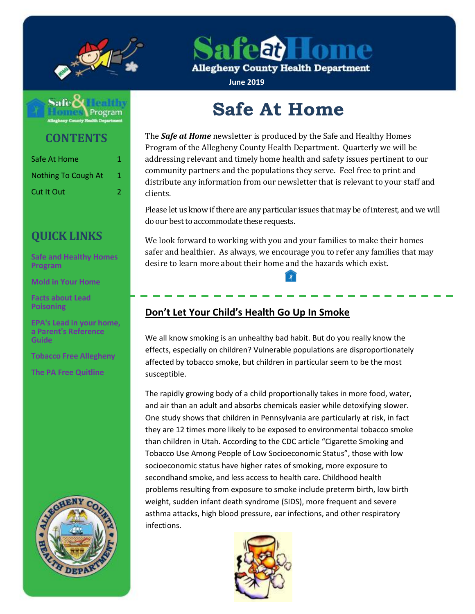

afea) Home

**Allegheny County Health Department** 

**June 2019**



**CONTENTS**

| Safe At Home        | 1. |
|---------------------|----|
| Nothing To Cough At | 1  |
| <b>Cut It Out</b>   | 2  |

# **QUICK LINKS**

**[Safe and Healthy Homes](http://www.alleghenycounty.us/Health-Department/Programs/Housing-and-Community-Environment/Safe-and-Healthy-Homes/Safe-and-Healthy-Homes-Program.aspx)  [Program](http://www.alleghenycounty.us/Health-Department/Programs/Housing-and-Community-Environment/Safe-and-Healthy-Homes/Safe-and-Healthy-Homes-Program.aspx)**

**[Mold in Your Home](http://www.alleghenycounty.us/uploadedFiles/Allegheny_Home/Health_Department/Programs/Housing_and_Community_Environment/mold.pdf)**

**[Facts about Lead](http://www.alleghenycounty.us/uploadedFiles/Allegheny_Home/Health_Department/Programs/Special_Initiatives/Lead/FactsAboutLeadPoisoning.pdf)  [Poisoning](http://www.alleghenycounty.us/uploadedFiles/Allegheny_Home/Health_Department/Programs/Special_Initiatives/Lead/FactsAboutLeadPoisoning.pdf)**

**[EPA's Lead in](http://www.alleghenycounty.us/uploadedFiles/Allegheny_Home/Health_Department/Programs/Special_Initiatives/Lead/epa_lead_in_your_home(1).pdf) your home, [a Parent's Reference](http://www.alleghenycounty.us/uploadedFiles/Allegheny_Home/Health_Department/Programs/Special_Initiatives/Lead/epa_lead_in_your_home(1).pdf)  [Guide](http://www.alleghenycounty.us/uploadedFiles/Allegheny_Home/Health_Department/Programs/Special_Initiatives/Lead/epa_lead_in_your_home(1).pdf)**

**[Tobacco Free Allegheny](http://www.tobaccofreeallegheny.org/)**

**[The PA Free Quitline](https://pa.quitlogix.org/)**



# **Safe At Home**

The *Safe at Home* newsletter is produced by the Safe and Healthy Homes Program of the Allegheny County Health Department. Quarterly we will be addressing relevant and timely home health and safety issues pertinent to our community partners and the populations they serve. Feel free to print and distribute any information from our newsletter that is relevant to your staff and clients.

Please let us know if there are any particular issues that may be of interest, and we will do our best to accommodate these requests.

We look forward to working with you and your families to make their homes safer and healthier. As always, we encourage you to refer any families that may desire to learn more about their home and the hazards which exist.

## **Don't Let Your Child's Health Go Up In Smoke**

We all know smoking is an unhealthy bad habit. But do you really know the effects, especially on children? Vulnerable populations are disproportionately affected by tobacco smoke, but children in particular seem to be the most susceptible.

The rapidly growing body of a child proportionally takes in more food, water, and air than an adult and absorbs chemicals easier while detoxifying slower. One study shows that children in Pennsylvania are particularly at risk, in fact they are 12 times more likely to be exposed to environmental tobacco smoke than children in Utah. According to the CDC article "Cigarette Smoking and Tobacco Use Among People of Low Socioeconomic Status", those with low socioeconomic status have higher rates of smoking, more exposure to secondhand smoke, and less access to health care. Childhood health problems resulting from exposure to smoke include preterm birth, low birth weight, sudden infant death syndrome (SIDS), more frequent and severe asthma attacks, high blood pressure, ear infections, and other respiratory infections.

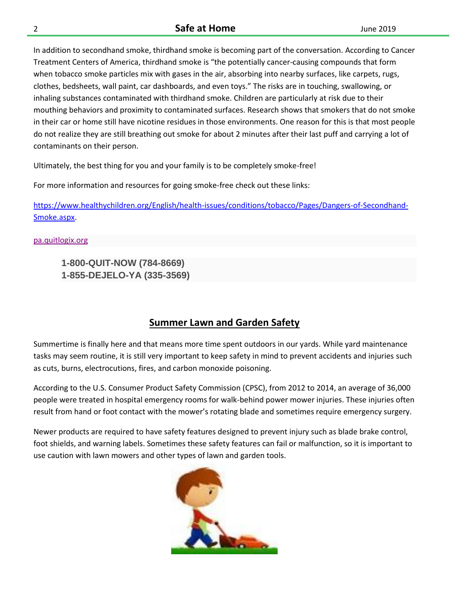#### 2 **Safe at Home** June 2019

In addition to secondhand smoke, thirdhand smoke is becoming part of the conversation. According to Cancer Treatment Centers of America, thirdhand smoke is "the potentially cancer-causing compounds that form when tobacco smoke particles mix with gases in the air, absorbing into nearby surfaces, like carpets, rugs, clothes, bedsheets, wall paint, car dashboards, and even toys." The risks are in touching, swallowing, or inhaling substances contaminated with thirdhand smoke. Children are particularly at risk due to their mouthing behaviors and proximity to contaminated surfaces. Research shows that smokers that do not smoke in their car or home still have nicotine residues in those environments. One reason for this is that most people do not realize they are still breathing out smoke for about 2 minutes after their last puff and carrying a lot of contaminants on their person.

Ultimately, the best thing for you and your family is to be completely smoke-free!

For more information and resources for going smoke-free check out these links:

[https://www.healthychildren.org/English/health-issues/conditions/tobacco/Pages/Dangers-of-Secondhand-](https://www.healthychildren.org/English/health-issues/conditions/tobacco/Pages/Dangers-of-Secondhand-Smoke.aspx)[Smoke.aspx.](https://www.healthychildren.org/English/health-issues/conditions/tobacco/Pages/Dangers-of-Secondhand-Smoke.aspx)

#### [pa.quitlogix.org](https://pa.quitlogix.org/en-US/)

**1-800-QUIT-NOW (784-8669) 1-855-DEJELO-YA (335-3569)** 

## **Summer Lawn and Garden Safety**

Summertime is finally here and that means more time spent outdoors in our yards. While yard maintenance tasks may seem routine, it is still very important to keep safety in mind to prevent accidents and injuries such as cuts, burns, electrocutions, fires, and carbon monoxide poisoning.

According to the U.S. Consumer Product Safety Commission (CPSC), from 2012 to 2014, an average of 36,000 people were treated in hospital emergency rooms for walk-behind power mower injuries. These injuries often result from hand or foot contact with the mower's rotating blade and sometimes require emergency surgery.

Newer products are required to have safety features designed to prevent injury such as blade brake control, foot shields, and warning labels. Sometimes these safety features can fail or malfunction, so it is important to use caution with lawn mowers and other types of lawn and garden tools.

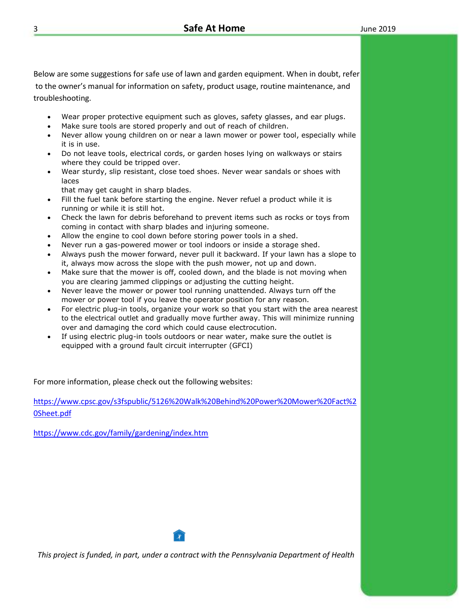Below are some suggestions for safe use of lawn and garden equipment. When in doubt, refer to the owner's manual for information on safety, product usage, routine maintenance, and troubleshooting.

- Wear proper protective equipment such as gloves, safety glasses, and ear plugs.
- Make sure tools are stored properly and out of reach of children.
- Never allow young children on or near a lawn mower or power tool, especially while it is in use.
- Do not leave tools, electrical cords, or garden hoses lying on walkways or stairs where they could be tripped over.
- Wear sturdy, slip resistant, close toed shoes. Never wear sandals or shoes with laces

that may get caught in sharp blades.

- Fill the fuel tank before starting the engine. Never refuel a product while it is running or while it is still hot.
- Check the lawn for debris beforehand to prevent items such as rocks or toys from coming in contact with sharp blades and injuring someone.
- Allow the engine to cool down before storing power tools in a shed.
- Never run a gas-powered mower or tool indoors or inside a storage shed.
- Always push the mower forward, never pull it backward. If your lawn has a slope to it, always mow across the slope with the push mower, not up and down.
- Make sure that the mower is off, cooled down, and the blade is not moving when you are clearing jammed clippings or adjusting the cutting height.
- Never leave the mower or power tool running unattended. Always turn off the mower or power tool if you leave the operator position for any reason.
- For electric plug-in tools, organize your work so that you start with the area nearest to the electrical outlet and gradually move further away. This will minimize running over and damaging the cord which could cause electrocution.
- If using electric plug-in tools outdoors or near water, make sure the outlet is equipped with a ground fault circuit interrupter (GFCI)

For more information, please check out the following websites:

[https://www.cpsc.gov/s3fspublic/5126%20Walk%20Behind%20Power%20Mower%20Fact%2](https://www.cpsc.gov/s3fspublic/5126%20Walk%20Behind%20Power%20Mower%20Fact%20Sheet.pdf) [0Sheet.pdf](https://www.cpsc.gov/s3fspublic/5126%20Walk%20Behind%20Power%20Mower%20Fact%20Sheet.pdf)

<https://www.cdc.gov/family/gardening/index.htm>

*This project is funded, in part, under a contract with the Pennsylvania Department of Health*